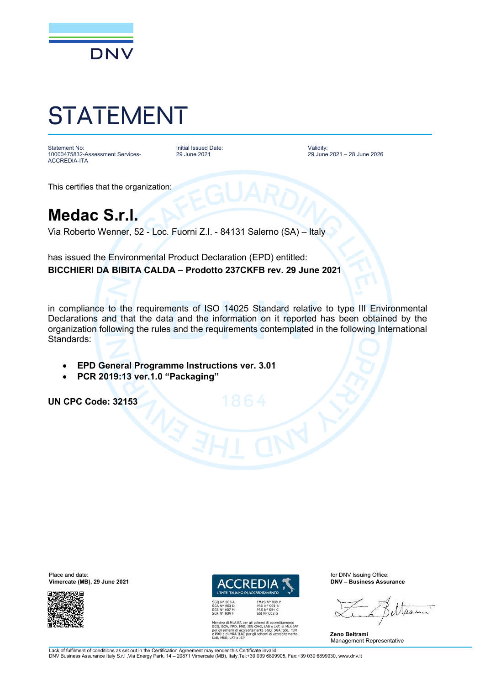

## STATEMENT

Statement No: 10000475832-Assessment Services-ACCREDIA-ITA

Initial Issued Date: 29 June 2021

Validity: 29 June 2021 – 28 June 2026

This certifies that the organization:

## **Medac S.r.l.**

Via Roberto Wenner, 52 - Loc. Fuorni Z.I. - 84131 Salerno (SA) – Italy

has issued the Environmental Product Declaration (EPD) entitled: **BICCHIERI DA BIBITA CALDA – Prodotto 237CKFB rev. 29 June 2021**

in compliance to the requirements of ISO 14025 Standard relative to type III Environmental Declarations and that the data and the information on it reported has been obtained by the organization following the rules and the requirements contemplated in the following International Standards:

- **EPD General Programme Instructions ver. 3.01**
- **PCR 2019:13 ver.1.0 "Packaging"**

**UN CPC Code: 32153**

**Vimercate (MB), 29 June 2021** 





I MLA EA per gli schemi di accreditamento<br>, PRD, PRS, ISP, GHG, LAB e LAT, di MLA IAI<br>emi di accreditamento SGQ, SGA, SSI, FSM<br>emi di accreditamento SGQ, SGA, SSI, FSM emi di accredi<br>MRA ILAC pe<br>LAT e ISP

Mesu

**Zeno Beltrami** Management Representative

Lack of fulfilment of conditions as set out in the Certification Agreement may render this Certificate invalid.<br>DNV Business Assurance Italy S.r.l ,Via Energy Park, 14 – 20871 Vimercate (MB), Italy,Tel:+39 039 6899905, Fa